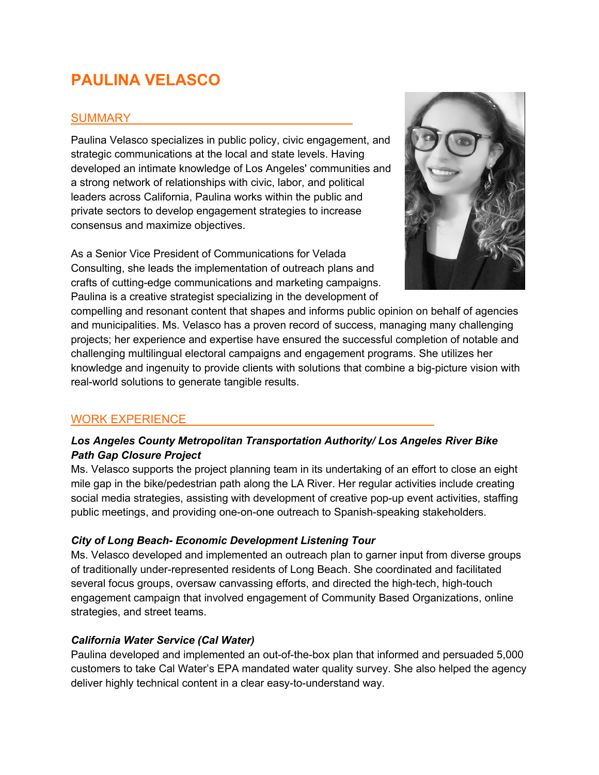# **PAULINA VELASCO**

# **SUMMARY**

Paulina Velasco specializes in public policy, civic engagement, and strategic communications at the local and state levels. Having developed an intimate knowledge of Los Angeles' communities and a strong network of relationships with civic, labor, and political leaders across California, Paulina works within the public and private sectors to develop engagement strategies to increase consensus and maximize objectives.

As a Senior Vice President of Communications for Velada Consulting, she leads the implementation of outreach plans and crafts of cutting-edge communications and marketing campaigns. Paulina is a creative strategist specializing in the development of



compelling and resonant content that shapes and informs public opinion on behalf of agencies and municipalities. Ms. Velasco has a proven record of success, managing many challenging projects; her experience and expertise have ensured the successful completion of notable and challenging multilingual electoral campaigns and engagement programs. She utilizes her knowledge and ingenuity to provide clients with solutions that combine a big-picture vision with real-world solutions to generate tangible results.

# WORK EXPERIENCE

# *Los Angeles County Metropolitan Transportation Authority/ Los Angeles River Bike Path Gap Closure Project*

Ms. Velasco supports the project planning team in its undertaking of an effort to close an eight mile gap in the bike/pedestrian path along the LA River. Her regular activities include creating social media strategies, assisting with development of creative pop-up event activities, staffing public meetings, and providing one-on-one outreach to Spanish-speaking stakeholders.

## *City of Long Beach- Economic Development Listening Tour*

Ms. Velasco developed and implemented an outreach plan to garner input from diverse groups of traditionally under-represented residents of Long Beach. She coordinated and facilitated several focus groups, oversaw canvassing efforts, and directed the high-tech, high-touch engagement campaign that involved engagement of Community Based Organizations, online strategies, and street teams.

## *California Water Service (Cal Water)*

Paulina developed and implemented an out-of-the-box plan that informed and persuaded 5,000 customers to take Cal Water's EPA mandated water quality survey. She also helped the agency deliver highly technical content in a clear easy-to-understand way.